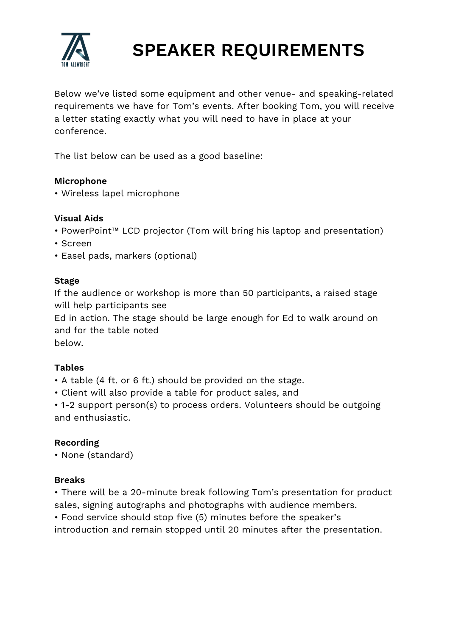

# **SPEAKER REQUIREMENTS**

Below we've listed some equipment and other venue- and speaking-related requirements we have for Tom's events. After booking Tom, you will receive a letter stating exactly what you will need to have in place at your conference.

The list below can be used as a good baseline:

### **Microphone**

• Wireless lapel microphone

# **Visual Aids**

- PowerPoint™ LCD projector (Tom will bring his laptop and presentation)
- Screen
- Easel pads, markers (optional)

#### **Stage**

If the audience or workshop is more than 50 participants, a raised stage will help participants see

Ed in action. The stage should be large enough for Ed to walk around on and for the table noted

below.

# **Tables**

- A table (4 ft. or 6 ft.) should be provided on the stage.
- Client will also provide a table for product sales, and
- 1-2 support person(s) to process orders. Volunteers should be outgoing and enthusiastic.

# **Recording**

• None (standard)

#### **Breaks**

• There will be a 20-minute break following Tom's presentation for product sales, signing autographs and photographs with audience members.

• Food service should stop five (5) minutes before the speaker's

introduction and remain stopped until 20 minutes after the presentation.